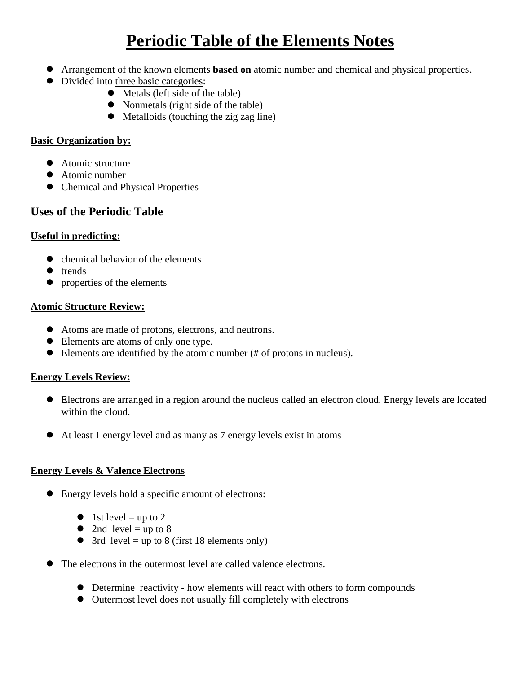# **Periodic Table of the Elements Notes**

- Arrangement of the known elements **based on** atomic number and chemical and physical properties.
- Divided into three basic categories:
	- Metals (left side of the table)
	- Nonmetals (right side of the table)
	- Metalloids (touching the zig zag line)

## **Basic Organization by:**

- Atomic structure
- Atomic number
- Chemical and Physical Properties

## **Uses of the Periodic Table**

## **Useful in predicting:**

- $\bullet$  chemical behavior of the elements
- $\bullet$  trends
- properties of the elements

## **Atomic Structure Review:**

- Atoms are made of protons, electrons, and neutrons.
- Elements are atoms of only one type.
- Elements are identified by the atomic number (# of protons in nucleus).

## **Energy Levels Review:**

- Electrons are arranged in a region around the nucleus called an electron cloud. Energy levels are located within the cloud.
- At least 1 energy level and as many as 7 energy levels exist in atoms

#### **Energy Levels & Valence Electrons**

- Energy levels hold a specific amount of electrons:
	- $\bullet$  1st level = up to 2
	- 2nd level  $=$  up to 8
	- $\bullet$  3rd level = up to 8 (first 18 elements only)
- The electrons in the outermost level are called valence electrons.
	- Determine reactivity how elements will react with others to form compounds
	- Outermost level does not usually fill completely with electrons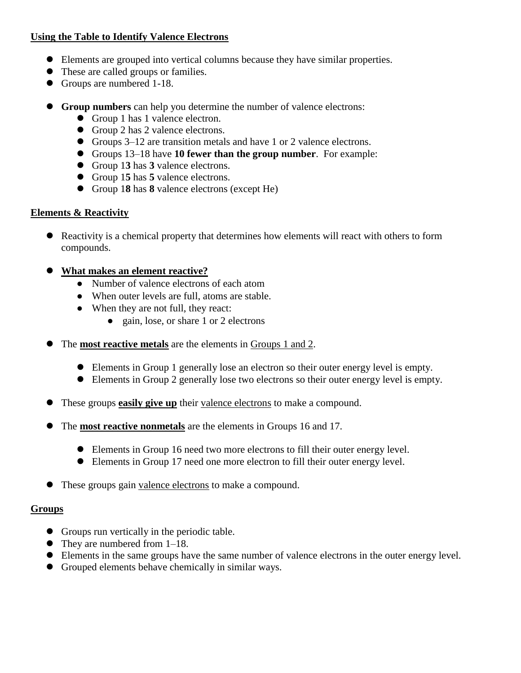#### **Using the Table to Identify Valence Electrons**

- Elements are grouped into vertical columns because they have similar properties.
- These are called groups or families.
- Groups are numbered 1-18.
- **Group numbers** can help you determine the number of valence electrons:
	- Group 1 has 1 valence electron.
	- Group 2 has 2 valence electrons.
	- Groups 3–12 are transition metals and have 1 or 2 valence electrons.
	- Groups 13–18 have **10 fewer than the group number**. For example:
	- Group 1**3** has **3** valence electrons.
	- Group 1**5** has **5** valence electrons.
	- Group 1**8** has **8** valence electrons (except He)

## **Elements & Reactivity**

- Reactivity is a chemical property that determines how elements will react with others to form compounds.
- **What makes an element reactive?**
	- Number of valence electrons of each atom
	- When outer levels are full, atoms are stable.
	- When they are not full, they react:
		- gain, lose, or share 1 or 2 electrons
- The **most reactive metals** are the elements in Groups 1 and 2.
	- Elements in Group 1 generally lose an electron so their outer energy level is empty.
	- Elements in Group 2 generally lose two electrons so their outer energy level is empty.
- These groups **easily give up** their valence electrons to make a compound.
- The **most reactive nonmetals** are the elements in Groups 16 and 17.
	- Elements in Group 16 need two more electrons to fill their outer energy level.
	- Elements in Group 17 need one more electron to fill their outer energy level.
- These groups gain valence electrons to make a compound.

#### **Groups**

- Groups run vertically in the periodic table.
- They are numbered from 1–18.
- Elements in the same groups have the same number of valence electrons in the outer energy level.
- Grouped elements behave chemically in similar ways.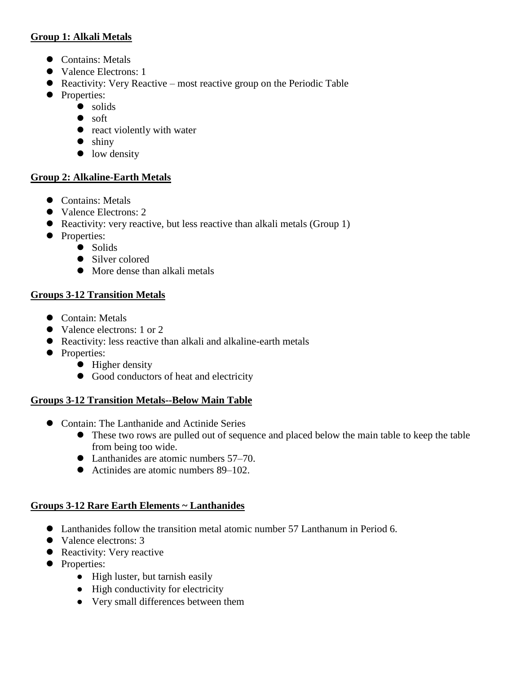## **Group 1: Alkali Metals**

- Contains: Metals
- Valence Electrons: 1
- Reactivity: Very Reactive most reactive group on the Periodic Table
- Properties:
	- $\bullet$  solids
		- soft
		- react violently with water
		- $\bullet$  shiny
		- low density

## **Group 2: Alkaline-Earth Metals**

- Contains: Metals
- Valence Electrons: 2
- Reactivity: very reactive, but less reactive than alkali metals (Group 1)
- Properties:
	- Solids
		- Silver colored
		- More dense than alkali metals

## **Groups 3-12 Transition Metals**

- Contain: Metals
- Valence electrons: 1 or 2
- Reactivity: less reactive than alkali and alkaline-earth metals
- Properties:
	- $\bullet$  Higher density
	- Good conductors of heat and electricity

#### **Groups 3-12 Transition Metals--Below Main Table**

- Contain: The Lanthanide and Actinide Series
	- These two rows are pulled out of sequence and placed below the main table to keep the table from being too wide.
	- Lanthanides are atomic numbers 57–70.
	- Actinides are atomic numbers 89–102.

## **Groups 3-12 Rare Earth Elements ~ Lanthanides**

- Lanthanides follow the transition metal atomic number 57 Lanthanum in Period 6.
- Valence electrons: 3
- Reactivity: Very reactive
- Properties:
	- High luster, but tarnish easily
	- High conductivity for electricity
	- Very small differences between them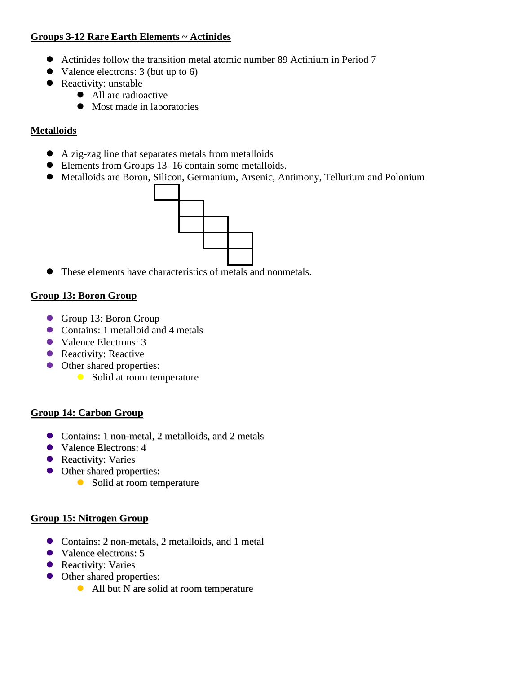## **Groups 3-12 Rare Earth Elements ~ Actinides**

- Actinides follow the transition metal atomic number 89 Actinium in Period 7
- Valence electrons: 3 (but up to 6)
- Reactivity: unstable
	- All are radioactive
		- Most made in laboratories

## **Metalloids**

- A zig-zag line that separates metals from metalloids
- Elements from Groups 13–16 contain some metalloids.
- Metalloids are Boron, Silicon, Germanium, Arsenic, Antimony, Tellurium and Polonium



These elements have characteristics of metals and nonmetals.

## **Group 13: Boron Group**

- Group 13: Boron Group
- Contains: 1 metalloid and 4 metals
- Valence Electrons: 3
- Reactivity: Reactive
- Other shared properties:
	- Solid at room temperature

#### **Group 14: Carbon Group**

- Contains: 1 non-metal, 2 metalloids, and 2 metals
- Valence Electrons: 4
- Reactivity: Varies
- Other shared properties:
	- Solid at room temperature

## **Group 15: Nitrogen Group**

- Contains: 2 non-metals, 2 metalloids, and 1 metal
- Valence electrons: 5
- Reactivity: Varies
- Other shared properties:
	- All but N are solid at room temperature